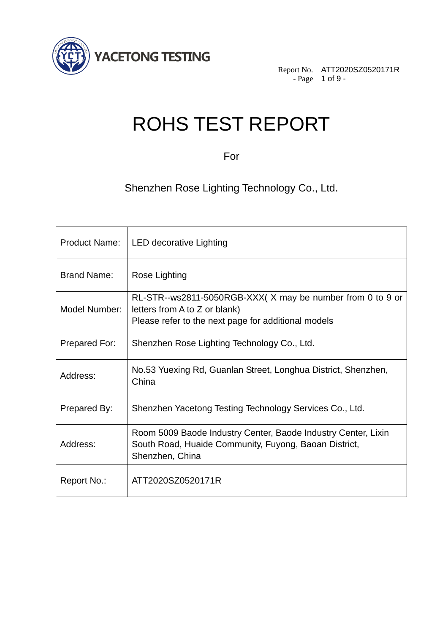

Report No. ATT2020SZ0520171R - Page 1 of 9 -

# ROHS TEST REPORT

For

Shenzhen Rose Lighting Technology Co., Ltd.

| <b>Product Name:</b> | <b>LED decorative Lighting</b>                                                                                                                    |
|----------------------|---------------------------------------------------------------------------------------------------------------------------------------------------|
| <b>Brand Name:</b>   | Rose Lighting                                                                                                                                     |
| Model Number:        | RL-STR--ws2811-5050RGB-XXX(X may be number from 0 to 9 or<br>letters from A to Z or blank)<br>Please refer to the next page for additional models |
| Prepared For:        | Shenzhen Rose Lighting Technology Co., Ltd.                                                                                                       |
| Address:             | No.53 Yuexing Rd, Guanlan Street, Longhua District, Shenzhen,<br>China                                                                            |
| Prepared By:         | Shenzhen Yacetong Testing Technology Services Co., Ltd.                                                                                           |
| Address:             | Room 5009 Baode Industry Center, Baode Industry Center, Lixin<br>South Road, Huaide Community, Fuyong, Baoan District,<br>Shenzhen, China         |
| Report No.:          | ATT2020SZ0520171R                                                                                                                                 |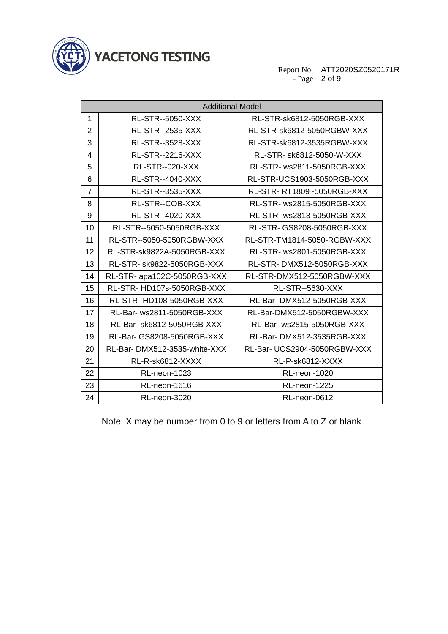

**YACETONG TESTING** 

Report No. - Page ATT2020SZ0520171R of 9 -

| <b>Additional Model</b> |                              |                              |  |  |  |
|-------------------------|------------------------------|------------------------------|--|--|--|
| $\mathbf{1}$            | RL-STR--5050-XXX             | RL-STR-sk6812-5050RGB-XXX    |  |  |  |
| $\overline{2}$          | RL-STR--2535-XXX             | RL-STR-sk6812-5050RGBW-XXX   |  |  |  |
| 3                       | <b>RL-STR--3528-XXX</b>      | RL-STR-sk6812-3535RGBW-XXX   |  |  |  |
| 4                       | <b>RL-STR--2216-XXX</b>      | RL-STR- sk6812-5050-W-XXX    |  |  |  |
| 5                       | <b>RL-STR--020-XXX</b>       | RL-STR- ws2811-5050RGB-XXX   |  |  |  |
| 6                       | <b>RL-STR--4040-XXX</b>      | RL-STR-UCS1903-5050RGB-XXX   |  |  |  |
| $\overline{7}$          | <b>RL-STR--3535-XXX</b>      | RL-STR-RT1809-5050RGB-XXX    |  |  |  |
| 8                       | RL-STR--COB-XXX              | RL-STR- ws2815-5050RGB-XXX   |  |  |  |
| 9                       | <b>RL-STR--4020-XXX</b>      | RL-STR- ws2813-5050RGB-XXX   |  |  |  |
| 10                      | RL-STR--5050-5050RGB-XXX     | RL-STR- GS8208-5050RGB-XXX   |  |  |  |
| 11                      | RL-STR--5050-5050RGBW-XXX    | RL-STR-TM1814-5050-RGBW-XXX  |  |  |  |
| 12                      | RL-STR-sk9822A-5050RGB-XXX   | RL-STR- ws2801-5050RGB-XXX   |  |  |  |
| 13                      | RL-STR- sk9822-5050RGB-XXX   | RL-STR-DMX512-5050RGB-XXX    |  |  |  |
| 14                      | RL-STR- apa102C-5050RGB-XXX  | RL-STR-DMX512-5050RGBW-XXX   |  |  |  |
| 15                      | RL-STR-HD107s-5050RGB-XXX    | RL-STR--5630-XXX             |  |  |  |
| 16                      | RL-STR-HD108-5050RGB-XXX     | RL-Bar-DMX512-5050RGB-XXX    |  |  |  |
| 17                      | RL-Bar- ws2811-5050RGB-XXX   | RL-Bar-DMX512-5050RGBW-XXX   |  |  |  |
| 18                      | RL-Bar- sk6812-5050RGB-XXX   | RL-Bar- ws2815-5050RGB-XXX   |  |  |  |
| 19                      | RL-Bar- GS8208-5050RGB-XXX   | RL-Bar-DMX512-3535RGB-XXX    |  |  |  |
| 20                      | RL-Bar-DMX512-3535-white-XXX | RL-Bar- UCS2904-5050RGBW-XXX |  |  |  |
| 21                      | RL-R-sk6812-XXXX             | RL-P-sk6812-XXXX             |  |  |  |
| 22                      | RL-neon-1023                 | RL-neon-1020                 |  |  |  |
| 23                      | RL-neon-1616                 | RL-neon-1225                 |  |  |  |
| 24                      | RL-neon-3020                 | RL-neon-0612                 |  |  |  |

Note: X may be number from 0 to 9 or letters from A to Z or blank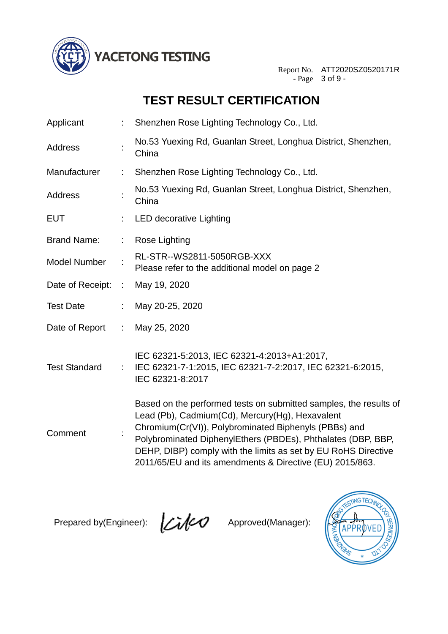

Report No. ATT2020SZ0520171R - Page 3 of 9 -

### **TEST RESULT CERTIFICATION**

| Applicant            |    | Shenzhen Rose Lighting Technology Co., Ltd.                                                                                                                                                                                                                                                                                                                                 |
|----------------------|----|-----------------------------------------------------------------------------------------------------------------------------------------------------------------------------------------------------------------------------------------------------------------------------------------------------------------------------------------------------------------------------|
| Address              |    | No.53 Yuexing Rd, Guanlan Street, Longhua District, Shenzhen,<br>China                                                                                                                                                                                                                                                                                                      |
| Manufacturer         | t. | Shenzhen Rose Lighting Technology Co., Ltd.                                                                                                                                                                                                                                                                                                                                 |
| Address              |    | No.53 Yuexing Rd, Guanlan Street, Longhua District, Shenzhen,<br>China                                                                                                                                                                                                                                                                                                      |
| <b>EUT</b>           |    | <b>LED decorative Lighting</b>                                                                                                                                                                                                                                                                                                                                              |
| <b>Brand Name:</b>   |    | Rose Lighting                                                                                                                                                                                                                                                                                                                                                               |
| <b>Model Number</b>  |    | RL-STR--WS2811-5050RGB-XXX<br>Please refer to the additional model on page 2                                                                                                                                                                                                                                                                                                |
| Date of Receipt:     | ÷  | May 19, 2020                                                                                                                                                                                                                                                                                                                                                                |
| <b>Test Date</b>     | t. | May 20-25, 2020                                                                                                                                                                                                                                                                                                                                                             |
| Date of Report       | ÷. | May 25, 2020                                                                                                                                                                                                                                                                                                                                                                |
| <b>Test Standard</b> | ÷  | IEC 62321-5:2013, IEC 62321-4:2013+A1:2017,<br>IEC 62321-7-1:2015, IEC 62321-7-2:2017, IEC 62321-6:2015,<br>IEC 62321-8:2017                                                                                                                                                                                                                                                |
| Comment              |    | Based on the performed tests on submitted samples, the results of<br>Lead (Pb), Cadmium(Cd), Mercury(Hg), Hexavalent<br>Chromium(Cr(VI)), Polybrominated Biphenyls (PBBs) and<br>Polybrominated DiphenylEthers (PBDEs), Phthalates (DBP, BBP,<br>DEHP, DIBP) comply with the limits as set by EU RoHS Directive<br>2011/65/EU and its amendments & Directive (EU) 2015/863. |

Prepared by(Engineer):  $\sqrt{\frac{1}{2}}$  Approved(Manager):

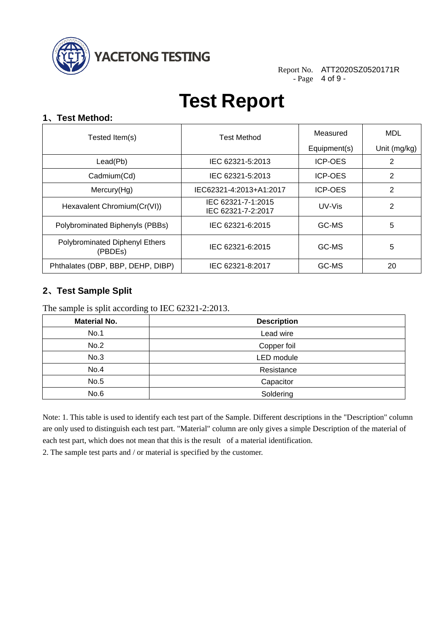

Report No. ATT2020SZ0520171R - Page 4 of 9 -

## **Test Report**

#### **1**、**Test Method:**

| Tested Item(s)                            | <b>Test Method</b>                       | Measured       | MDL          |
|-------------------------------------------|------------------------------------------|----------------|--------------|
|                                           |                                          | Equipment(s)   | Unit (mg/kg) |
| Lead(Pb)                                  | IEC 62321-5:2013                         | <b>ICP-OES</b> | 2            |
| Cadmium(Cd)                               | IEC 62321-5:2013                         | <b>ICP-OES</b> | 2            |
| Mercury(Hg)                               | IEC62321-4:2013+A1:2017                  | <b>ICP-OES</b> | 2            |
| Hexavalent Chromium(Cr(VI))               | IEC 62321-7-1:2015<br>IEC 62321-7-2:2017 | UV-Vis         | 2            |
| Polybrominated Biphenyls (PBBs)           | IEC 62321-6:2015                         | GC-MS          | 5            |
| Polybrominated Diphenyl Ethers<br>(PBDEs) | IEC 62321-6:2015                         | GC-MS          | 5            |
| Phthalates (DBP, BBP, DEHP, DIBP)         | IEC 62321-8:2017                         | GC-MS          | 20           |

### **2**、**Test Sample Split**

The sample is split according to IEC 62321-2:2013.

| <b>Material No.</b> | <b>Description</b> |
|---------------------|--------------------|
| No.1                | Lead wire          |
| No.2                | Copper foil        |
| No.3                | LED module         |
| No.4                | Resistance         |
| No.5                | Capacitor          |
| No.6                | Soldering          |

Note: 1. This table is used to identify each test part of the Sample. Different descriptions in the "Description" column are only used to distinguish each test part. "Material" column are only gives a simple Description of the material of each test part, which does not mean that this is the result of a material identification.

2. The sample test parts and / or material is specified by the customer.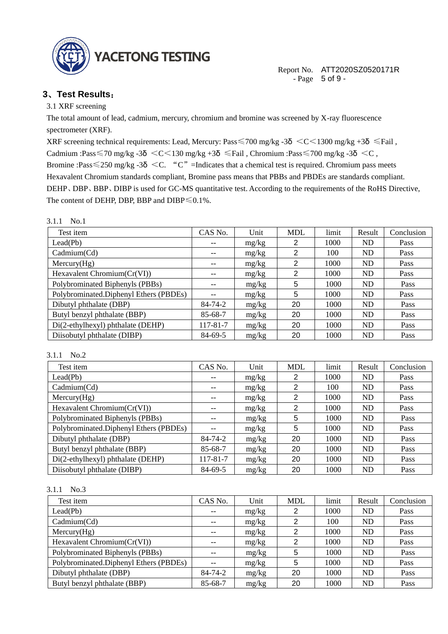

Report No. ATT2020SZ0520171R - Page 5 of 9 -

#### **3**、**Test Results**:

3.1 XRF screening

The total amount of lead, cadmium, mercury, chromium and bromine was screened by X-ray fluorescence spectrometer (XRF).

XRF screening technical requirements: Lead, Mercury: Pass  $\leq$  700 mg/kg -3 $\delta$   $\leq$   $C$   $\leq$  1300 mg/kg +3 $\delta$   $\leq$  Fail, Cadmium :Pass $\leq$ 70 mg/kg -3 $\delta$   $\leq$ C $\leq$ 130 mg/kg +3 $\delta$   $\leq$ Fail, Chromium :Pass $\leq$ 700 mg/kg -3 $\delta$   $\leq$ C, Bromine :Pass  $\leq$  250 mg/kg -3 $\delta$  < C. "C" =Indicates that a chemical test is required. Chromium pass meets Hexavalent Chromium standards compliant, Bromine pass means that PBBs and PBDEs are standards compliant. DEHP、DBP、BBP、DIBP is used for GC-MS quantitative test. According to the requirements of the RoHS Directive, The content of DEHP, DBP, BBP and DIBP≤0.1%.

#### 3.1.1 No.1

| Test item                              | CAS No.                  | Unit  | <b>MDL</b>     | limit | Result    | Conclusion |
|----------------------------------------|--------------------------|-------|----------------|-------|-----------|------------|
| Lead(Pb)                               | $\overline{\phantom{m}}$ | mg/kg | 2              | 1000  | <b>ND</b> | Pass       |
| Cadmium(Cd)                            | $\overline{\phantom{m}}$ | mg/kg | 2              | 100   | <b>ND</b> | Pass       |
| Mercury(Hg)                            | $\overline{\phantom{m}}$ | mg/kg | $\overline{2}$ | 1000  | <b>ND</b> | Pass       |
| Hexavalent Chromium (Cr(VI))           | --                       | mg/kg | 2              | 1000  | <b>ND</b> | Pass       |
| Polybrominated Biphenyls (PBBs)        | --                       | mg/kg | 5              | 1000  | <b>ND</b> | Pass       |
| Polybrominated.Diphenyl Ethers (PBDEs) | --                       | mg/kg | 5              | 1000  | <b>ND</b> | Pass       |
| Dibutyl phthalate (DBP)                | 84-74-2                  | mg/kg | 20             | 1000  | <b>ND</b> | Pass       |
| Butyl benzyl phthalate (BBP)           | 85-68-7                  | mg/kg | 20             | 1000  | <b>ND</b> | Pass       |
| Di(2-ethylhexyl) phthalate (DEHP)      | 117-81-7                 | mg/kg | 20             | 1000  | <b>ND</b> | Pass       |
| Diisobutyl phthalate (DIBP)            | 84-69-5                  | mg/kg | 20             | 1000  | <b>ND</b> | Pass       |

#### 3.1.1 No.2

| Test item                              | CAS No.       | Unit  | <b>MDL</b> | limit | Result         | Conclusion |
|----------------------------------------|---------------|-------|------------|-------|----------------|------------|
| Lead(Pb)                               | --            | mg/kg | 2          | 1000  | <b>ND</b>      | Pass       |
| Cadmium(Cd)                            | --            | mg/kg | 2          | 100   | <b>ND</b>      | Pass       |
| Mercury(Hg)                            |               | mg/kg | 2          | 1000  | <b>ND</b>      | Pass       |
| Hexavalent Chromium(Cr(VI))            | --            | mg/kg | 2          | 1000  | <b>ND</b>      | Pass       |
| Polybrominated Biphenyls (PBBs)        | --            | mg/kg | 5          | 1000  | ND             | Pass       |
| Polybrominated.Diphenyl Ethers (PBDEs) |               | mg/kg | 5          | 1000  | <b>ND</b>      | Pass       |
| Dibutyl phthalate (DBP)                | $84 - 74 - 2$ | mg/kg | 20         | 1000  | N <sub>D</sub> | Pass       |
| Butyl benzyl phthalate (BBP)           | 85-68-7       | mg/kg | 20         | 1000  | ND             | Pass       |
| Di(2-ethylhexyl) phthalate (DEHP)      | 117-81-7      | mg/kg | 20         | 1000  | ND             | Pass       |
| Diisobutyl phthalate (DIBP)            | 84-69-5       | mg/kg | 20         | 1000  | ND             | Pass       |

#### 3.1.1 No.3

| Test item                              | CAS No.                  | Unit  | <b>MDL</b> | limit | Result    | Conclusion |
|----------------------------------------|--------------------------|-------|------------|-------|-----------|------------|
| Lead(Pb)                               | $- -$                    | mg/kg | 2          | 1000  | ND        | Pass       |
| Cadmium(Cd)                            | --                       | mg/kg | 2          | 100   | ND        | Pass       |
| Mercury(Hg)                            | $- -$                    | mg/kg | 2          | 1000  | <b>ND</b> | Pass       |
| Hexavalent Chromium(Cr(VI))            | $\overline{\phantom{m}}$ | mg/kg | 2          | 1000  | ND        | Pass       |
| Polybrominated Biphenyls (PBBs)        | --                       | mg/kg | 5          | 1000  | ND        | Pass       |
| Polybrominated.Diphenyl Ethers (PBDEs) | --                       | mg/kg | 5          | 1000  | ND        | Pass       |
| Dibutyl phthalate (DBP)                | 84-74-2                  | mg/kg | 20         | 1000  | ND        | Pass       |
| Butyl benzyl phthalate (BBP)           | 85-68-7                  | mg/kg | 20         | 1000  | ND        | Pass       |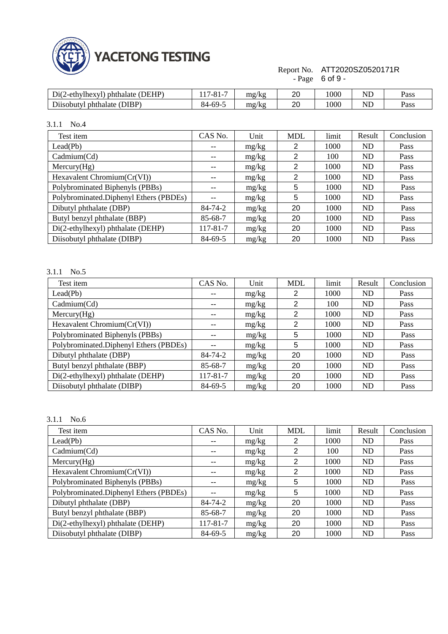

#### Report No. - Page ATT2020SZ0520171R 6 of 9 -

| $\lambda$ (DEHP)<br>$Di(2-ethylhexyl)$<br>phthalate | $\Omega$ 1<br>$-01 -$ | mg/kg | 20 | 000  | T<br>NL    | Pass |
|-----------------------------------------------------|-----------------------|-------|----|------|------------|------|
| $DIBP^{\dagger}$<br>$D$ 11 sobuty'<br>phthalate (   | 84<br>4-69-:          | mg/kg | 20 | 1000 | $ -$<br>NĽ | Pass |

3.1.1 No.4

| Test item                              | CAS No.  | Unit  | <b>MDL</b> | limit | Result    | Conclusion |
|----------------------------------------|----------|-------|------------|-------|-----------|------------|
| Lead(Pb)                               | $- -$    | mg/kg | 2          | 1000  | <b>ND</b> | Pass       |
| Cadmium(Cd)                            | --       | mg/kg | 2          | 100   | <b>ND</b> | Pass       |
| Mercury(Hg)                            | --       | mg/kg | 2          | 1000  | <b>ND</b> | Pass       |
| Hexavalent Chromium(Cr(VI))            | $- -$    | mg/kg | 2          | 1000  | <b>ND</b> | Pass       |
| Polybrominated Biphenyls (PBBs)        | --       | mg/kg | 5          | 1000  | <b>ND</b> | Pass       |
| Polybrominated.Diphenyl Ethers (PBDEs) |          | mg/kg | 5          | 1000  | <b>ND</b> | Pass       |
| Dibutyl phthalate (DBP)                | 84-74-2  | mg/kg | 20         | 1000  | <b>ND</b> | Pass       |
| Butyl benzyl phthalate (BBP)           | 85-68-7  | mg/kg | 20         | 1000  | <b>ND</b> | Pass       |
| Di(2-ethylhexyl) phthalate (DEHP)      | 117-81-7 | mg/kg | 20         | 1000  | <b>ND</b> | Pass       |
| Diisobutyl phthalate (DIBP)            | 84-69-5  | mg/kg | 20         | 1000  | <b>ND</b> | Pass       |

#### 3.1.1 No.5

| Test item                              | CAS No.       | Unit  | <b>MDL</b> | limit | Result    | Conclusion |
|----------------------------------------|---------------|-------|------------|-------|-----------|------------|
| Lead(Pb)                               | --            | mg/kg | 2          | 1000  | <b>ND</b> | Pass       |
| Cadmium(Cd)                            | --            | mg/kg | 2          | 100   | <b>ND</b> | Pass       |
| Mercury(Hg)                            | --            | mg/kg | 2          | 1000  | <b>ND</b> | Pass       |
| Hexavalent Chromium(Cr(VI))            | --            | mg/kg | 2          | 1000  | <b>ND</b> | Pass       |
| Polybrominated Biphenyls (PBBs)        | --            | mg/kg | 5          | 1000  | <b>ND</b> | Pass       |
| Polybrominated.Diphenyl Ethers (PBDEs) | --            | mg/kg | 5          | 1000  | <b>ND</b> | Pass       |
| Dibutyl phthalate (DBP)                | $84 - 74 - 2$ | mg/kg | 20         | 1000  | <b>ND</b> | Pass       |
| Butyl benzyl phthalate (BBP)           | 85-68-7       | mg/kg | 20         | 1000  | <b>ND</b> | Pass       |
| Di(2-ethylhexyl) phthalate (DEHP)      | 117-81-7      | mg/kg | 20         | 1000  | <b>ND</b> | Pass       |
| Diisobutyl phthalate (DIBP)            | 84-69-5       | mg/kg | 20         | 1000  | ND        | Pass       |

#### 3.1.1 No.6

| Test item                              | CAS No.       | Unit  | <b>MDL</b> | limit | Result         | Conclusion |
|----------------------------------------|---------------|-------|------------|-------|----------------|------------|
| Lead(Pb)                               | $- -$         | mg/kg | 2          | 1000  | ND             | Pass       |
| Cadmium(Cd)                            | --            | mg/kg | 2          | 100   | ND             | Pass       |
| Mercury(Hg)                            | --            | mg/kg | 2          | 1000  | ND             | Pass       |
| Hexavalent Chromium(Cr(VI))            | $- -$         | mg/kg | 2          | 1000  | ND             | Pass       |
| Polybrominated Biphenyls (PBBs)        | --            | mg/kg | 5          | 1000  | ND             | Pass       |
| Polybrominated.Diphenyl Ethers (PBDEs) | --            | mg/kg | 5          | 1000  | <b>ND</b>      | Pass       |
| Dibutyl phthalate (DBP)                | $84 - 74 - 2$ | mg/kg | 20         | 1000  | N <sub>D</sub> | Pass       |
| Butyl benzyl phthalate (BBP)           | 85-68-7       | mg/kg | 20         | 1000  | ND             | Pass       |
| Di(2-ethylhexyl) phthalate (DEHP)      | 117-81-7      | mg/kg | 20         | 1000  | N <sub>D</sub> | Pass       |
| Diisobutyl phthalate (DIBP)            | 84-69-5       | mg/kg | 20         | 1000  | ND             | Pass       |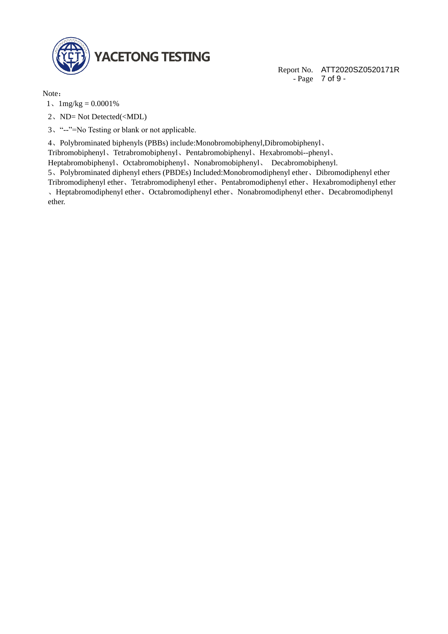

Report No. ATT2020SZ0520171R - Page 7 of 9 -

Note:

- $1.1$  mg/kg = 0.0001%
- 2、ND= Not Detected(<MDL)
- 3、"--"=No Testing or blank or not applicable.

4、Polybrominated biphenyls (PBBs) include:Monobromobiphenyl,Dibromobiphenyl、

Tribromobiphenyl、Tetrabromobiphenyl、Pentabromobiphenyl、Hexabromobi--phenyl、

Heptabromobiphenyl、Octabromobiphenyl、Nonabromobiphenyl、 Decabromobiphenyl.

5、Polybrominated diphenyl ethers (PBDEs) Included:Monobromodiphenyl ether、Dibromodiphenyl ether Tribromodiphenyl ether、Tetrabromodiphenyl ether、Pentabromodiphenyl ether、Hexabromodiphenyl ether 、Heptabromodiphenyl ether、Octabromodiphenyl ether、Nonabromodiphenyl ether、Decabromodiphenyl ether.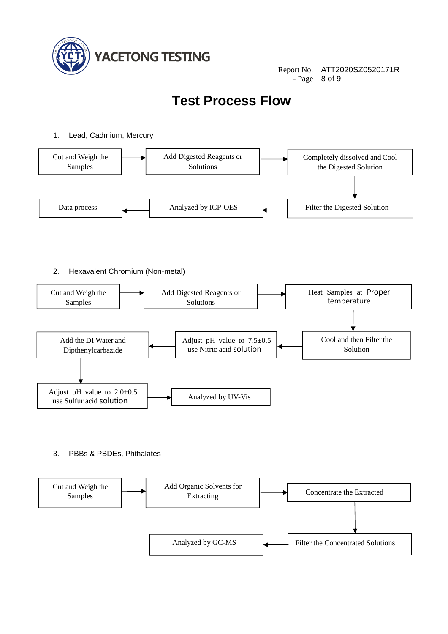

Report No. ATT2020SZ0520171R - Page 8 of 9 -

### **Test Process Flow**

#### 1. Lead, Cadmium, Mercury



#### 2. Hexavalent Chromium (Non-metal)



3. PBBs & PBDEs, Phthalates